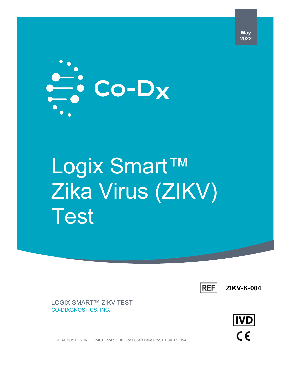

# Logix Smart™ Zika Virus (ZIKV) Test



**ZIKV-K-004**

LOGIX SMART™ ZIKV TEST CO-DIAGNOSTICS, INC.

 $IVD$  $C \in$ 

CO-DIAGNOSTICS, INC. | 2401 Foothill Dr., Ste D, Salt Lake City, UT 84109 USA

**May 2022**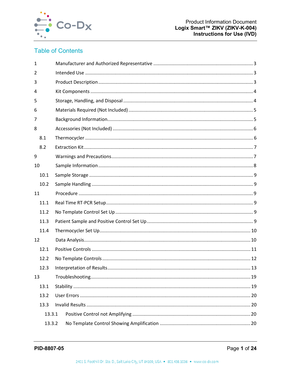

# **Table of Contents**

| $\mathbf{1}$   |  |  |  |  |
|----------------|--|--|--|--|
| $\overline{2}$ |  |  |  |  |
| 3              |  |  |  |  |
| 4              |  |  |  |  |
| 5              |  |  |  |  |
| 6              |  |  |  |  |
| 7              |  |  |  |  |
| 8              |  |  |  |  |
| 8.1            |  |  |  |  |
| 8.2            |  |  |  |  |
| 9              |  |  |  |  |
| 10             |  |  |  |  |
| 10.1           |  |  |  |  |
| 10.2           |  |  |  |  |
| 11             |  |  |  |  |
| 11.1           |  |  |  |  |
| 11.2           |  |  |  |  |
| 11.3           |  |  |  |  |
| 11.4           |  |  |  |  |
| 12             |  |  |  |  |
| 12.1           |  |  |  |  |
| 12.2           |  |  |  |  |
| 12.3           |  |  |  |  |
| 13             |  |  |  |  |
| 13.1           |  |  |  |  |
| 13.2           |  |  |  |  |
| 13.3           |  |  |  |  |
| 13.3.1         |  |  |  |  |
| 13.3.2         |  |  |  |  |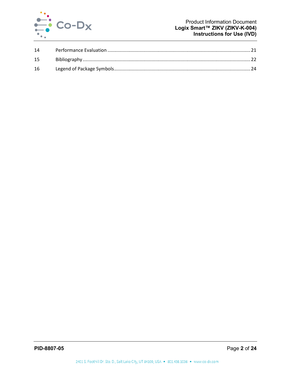

| 14 |  |
|----|--|
| 15 |  |
| 16 |  |
|    |  |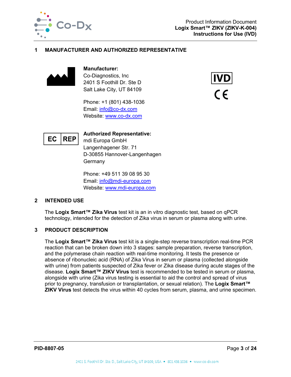

#### <span id="page-3-0"></span>**1 MANUFACTURER AND AUTHORIZED REPRESENTATIVE**



**Manufacturer:** Co-Diagnostics, Inc 2401 S Foothill Dr. Ste D Salt Lake City, UT 84109

Phone: +1 (801) 438-1036 Email: [info@co-dx.com](mailto:info@co-dx.com) Website: [www.co-dx.com](http://www.co-dx.com/)





**Authorized Representative:**

mdi Europa GmbH Langenhagener Str. 71 D-30855 Hannover-Langenhagen **Germany** 

Phone: +49 511 39 08 95 30 Email: [info@mdi-europa.com](mailto:info@mdi-europa.com) Website: [www.mdi-europa.com](http://www.mdi-europa.com/)

#### <span id="page-3-1"></span>**2 INTENDED USE**

The **Logix Smart™ Zika Virus** test kit is an in vitro diagnostic test, based on qPCR technology, intended for the detection of Zika virus in serum or plasma along with urine.

#### <span id="page-3-2"></span>**3 PRODUCT DESCRIPTION**

The **Logix Smart™ Zika Virus** test kit is a single-step reverse transcription real-time PCR reaction that can be broken down into 3 stages: sample preparation, reverse transcription, and the polymerase chain reaction with real-time monitoring. It tests the presence or absence of ribonucleic acid (RNA) of Zika Virus in serum or plasma (collected alongside with urine) from patients suspected of Zika fever or Zika disease during acute stages of the disease. **Logix Smart™ ZIKV Virus** test is recommended to be tested in serum or plasma, alongside with urine (Zika virus testing is essential to aid the control and spread of virus prior to pregnancy, transfusion or transplantation, or sexual relation). The **Logix Smart™ ZIKV Virus** test detects the virus within 40 cycles from serum, plasma, and urine specimen.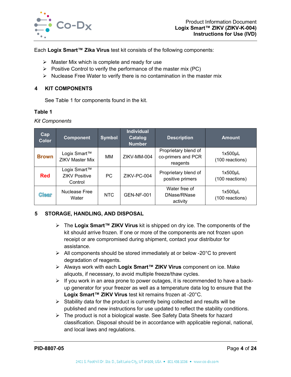

Each **Logix Smart™ Zika Virus** test kit consists of the following components:

- $\triangleright$  Master Mix which is complete and ready for use
- $\triangleright$  Positive Control to verify the performance of the master mix (PC)
- $\triangleright$  Nuclease Free Water to verify there is no contamination in the master mix

#### <span id="page-4-0"></span>**4 KIT COMPONENTS**

See [Table 1](#page-4-2) for components found in the kit.

#### <span id="page-4-2"></span>**Table 1**

*Kit Components*

| Cap<br><b>Color</b> | <b>Component</b>                                | <b>Symbol</b> | <b>Individual</b><br><b>Catalog</b><br><b>Number</b> | <b>Description</b>                                     | <b>Amount</b>                   |
|---------------------|-------------------------------------------------|---------------|------------------------------------------------------|--------------------------------------------------------|---------------------------------|
| <b>Brown</b>        | Logix Smart™<br><b>ZIKV Master Mix</b>          | MМ            | ZIKV-MM-004                                          | Proprietary blend of<br>co-primers and PCR<br>reagents | $1x500\mu L$<br>(100 reactions) |
| <b>Red</b>          | Logix Smart™<br><b>ZIKV Positive</b><br>Control | <b>PC</b>     | ZIKV-PC-004                                          | Proprietary blend of<br>positive primers               | $1x500\mu L$<br>(100 reactions) |
| <b>Clear</b>        | <b>Nuclease Free</b><br>Water                   | NTC           | <b>GEN-NF-001</b>                                    | Water free of<br>DNase/RNase<br>activity               | $1x500\mu L$<br>(100 reactions) |

## <span id="page-4-1"></span>**5 STORAGE, HANDLING, AND DISPOSAL**

- The **Logix Smart™ ZIKV Virus** kit is shipped on dry ice. The components of the kit should arrive frozen. If one or more of the components are not frozen upon receipt or are compromised during shipment, contact your distributor for assistance.
- $\triangleright$  All components should be stored immediately at or below -20 $\degree$ C to prevent degradation of reagents.
- Always work with each **Logix Smart™ ZIKV Virus** component on ice. Make aliquots, if necessary, to avoid multiple freeze/thaw cycles.
- $\triangleright$  If you work in an area prone to power outages, it is recommended to have a backup generator for your freezer as well as a temperature data log to ensure that the **Logix Smart™ ZIKV Virus** test kit remains frozen at -20°C.
- $\triangleright$  Stability data for the product is currently being collected and results will be published and new instructions for use updated to reflect the stability conditions.
- $\triangleright$  The product is not a biological waste. See Safety Data Sheets for hazard classification. Disposal should be in accordance with applicable regional, national, and local laws and regulations.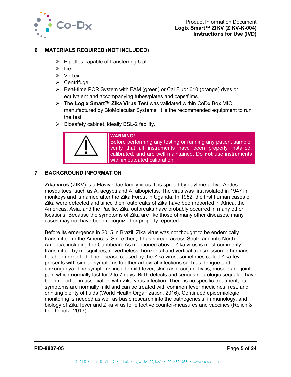

#### <span id="page-5-0"></span>**6 MATERIALS REQUIRED (NOT INCLUDED)**

- $\triangleright$  Pipettes capable of transferring 5  $\mu$ L
- $\triangleright$  Ice
- Vortex
- $\triangleright$  Centrifuge
- $\triangleright$  Real-time PCR System with FAM (green) or Cal Fluor 610 (orange) dyes or equivalent and accompanying tubes/plates and caps/films.
- The **Logix Smart™ Zika Virus** Test was validated within CoDx Box MIC manufactured by BioMolecular Systems. It is the recommended equipment to run the test.
- $\triangleright$  Biosafety cabinet, ideally BSL-2 facility.



## <span id="page-5-1"></span>**7 BACKGROUND INFORMATION**

**Zika virus** (ZIKV) is a Flaviviridae family virus. It is spread by daytime-active Aedes mosquitoes, such as A. aegypti and A. albopictus. The virus was first isolated in 1947 in monkeys and is named after the Zika Forest in Uganda. In 1952, the first human cases of Zika were detected and since then, outbreaks of Zika have been reported in Africa, the Americas, Asia, and the Pacific. Zika outbreaks have probably occurred in many other locations. Because the symptoms of Zika are like those of many other diseases, many cases may not have been recognized or properly reported.

Before its emergence in 2015 in Brazil, Zika virus was not thought to be endemically transmitted in the Americas. Since then, it has spread across South and into North America, including the Caribbean. As mentioned above, Zika virus is most commonly transmitted by mosquitoes; nevertheless, horizontal and vertical transmission in humans has been reported. The disease caused by the Zika virus, sometimes called Zika fever, presents with similar symptoms to other arboviral infections such as dengue and chikungunya. The symptoms include mild fever, skin rash, conjunctivitis, muscle and joint pain which normally last for 2 to 7 days. Birth defects and serious neurologic sequalae have been reported in association with Zika virus infection. There is no specific treatment, but symptoms are normally mild and can be treated with common fever medicines, rest, and drinking plenty of fluids (World Health Organization, 2016). Continued epidemiologic monitoring is needed as well as basic research into the pathogenesis, immunology, and biology of Zika fever and Zika virus for effective counter-measures and vaccines (Relich & Loeffelholz, 2017).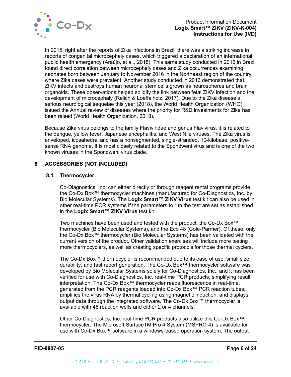

In 2015, right after the reports of Zika infections in Brazil, there was a striking increase in reports of congenital microcephaly cases, which triggered a declaration of an international public health emergency (Araújo, et al., 2018). This same study conducted in 2016 in Brazil found direct correlation between microcephaly cases and Zika occurrences examining neonates born between January to November 2016 in the Northeast region of the country where Zika cases were prevalent. Another study conducted in 2016 demonstrated that ZIKV infects and destroys human neuronal stem cells grown as neurospheres and brain organoids. These observations helped solidify the link between fetal ZIKV infection and the development of microcephaly (Relich & Loeffelholz, 2017). Due to the Zika disease's serious neurological sequelae this year (2018), the World Health Organization (WHO) issued the Annual review of diseases where the priority for R&D investments for Zika has been raised (World Health Organization, 2018).

Because Zika virus belongs to the family Flaviviridae and genus Flavivirus, it is related to the dengue, yellow fever, Japanese encephalitis, and West Nile viruses. The Zika virus is enveloped, icosahedral and has a nonsegmented, single-stranded, 10-kilobase, positivesense RNA genome. It is most closely related to the Spondweni virus and is one of the two known viruses in the Spondweni virus clade.

## <span id="page-6-1"></span><span id="page-6-0"></span>**8 ACCESSORIES (NOT INCLUDED)**

## **8.1 Thermocycler**

Co-Diagnostics, Inc. can either directly or through reagent rental programs provide the Co-Dx Box™ thermocycler machines (manufactured for Co-Diagnostics, Inc. by Bio Molecular Systems). The **Logix Smart™ ZIKV Virus** test kit can also be used in other real-time PCR systems if the parameters to run the test are set as established in the **Logix Smart™ ZIKV Virus** test kit.

Two machines have been used and tested with the product, the Co-Dx Box™ thermocycler (Bio Molecular Systems), and the Eco 48 (Cole-Parmer). Of these, only the Co-Dx Box™ thermocycler (Bio Molecular Systems) has been validated with the current version of the product. Other validation exercises will include more testing more thermocyclers, as well as creating specific protocols for those thermal cyclers.

The Co-Dx Box™ thermocycler is recommended due to its ease of use, small size, durability, and fast report generation. The Co-Dx Box™ thermocycler software was developed by Bio Molecular Systems solely for Co-Diagnostics, Inc., and it has been verified for use with Co-Diagnostics, Inc. real-time PCR products, simplifying result interpretation. The Co-Dx Box™ thermocycler reads fluorescence in real-time, generated from the PCR reagents loaded into Co-Dx Box™ PCR reaction tubes, amplifies the virus RNA by thermal cycling using magnetic induction, and displays output data through the integrated software. The Co-Dx Box™ thermocycler is available with 48 reaction wells and either 2 or 4 channels.

Other Co-Diagnostics, Inc. real-time PCR products also utilize this Co-Dx Box™ thermocycler. The Microsoft SurfaceTM Pro 4 System (MSPRO-4) is available for use with Co-Dx Box™ software in a windows-based operation system. The output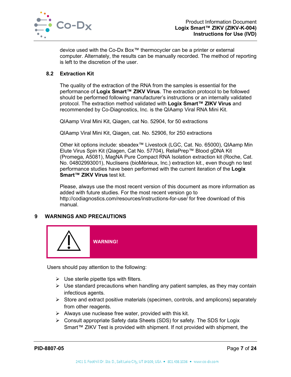

device used with the Co-Dx Box™ thermocycler can be a printer or external computer. Alternately, the results can be manually recorded. The method of reporting is left to the discretion of the user.

## <span id="page-7-0"></span>**8.2 Extraction Kit**

The quality of the extraction of the RNA from the samples is essential for the performance of **Logix Smart™ ZIKV Virus**. The extraction protocol to be followed should be performed following manufacturer's instructions or an internally validated protocol. The extraction method validated with **Logix Smart™ ZIKV Virus** and recommended by Co-Diagnostics, Inc. is the QIAamp Viral RNA Mini Kit.

QIAamp Viral Mini Kit, Qiagen, cat No. 52904, for 50 extractions

QIAamp Viral Mini Kit, Qiagen, cat. No. 52906, for 250 extractions

Other kit options include: sbeadex™ Livestock (LGC, Cat. No. 65000), QIAamp Min Elute Virus Spin Kit (Qiagen, Cat No. 57704), ReliaPrep™ Blood gDNA Kit (Promega, A5081), MagNA Pure Compact RNA Isolation extraction kit (Roche, Cat. No. 04802993001), Nuclisens (bioMérieux, Inc.) extraction kit., even though no test performance studies have been performed with the current iteration of the **Logix Smart™ ZIKV Virus** test kit.

Please, always use the most recent version of this document as more information as added with future studies. For the most recent version go to http://codiagnostics.com/resources/instructions-for-use/ for free download of this manual.

## <span id="page-7-1"></span>**9 WARNINGS AND PRECAUTIONS**



Users should pay attention to the following:

- $\triangleright$  Use sterile pipette tips with filters.
- $\triangleright$  Use standard precautions when handling any patient samples, as they may contain infectious agents.
- $\triangleright$  Store and extract positive materials (specimen, controls, and amplicons) separately from other reagents.
- $\triangleright$  Always use nuclease free water, provided with this kit.
- $\triangleright$  Consult appropriate Safety data Sheets (SDS) for safety. The SDS for Logix Smart™ ZIKV Test is provided with shipment. If not provided with shipment, the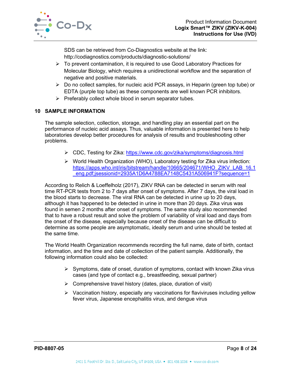

SDS can be retrieved from Co-Diagnostics website at the link: http://codiagnostics.com/products/diagnostic-solutions/

- $\triangleright$  To prevent contamination, it is required to use Good Laboratory Practices for Molecular Biology, which requires a unidirectional workflow and the separation of negative and positive materials.
- $\triangleright$  Do no collect samples, for nucleic acid PCR assays, in Heparin (green top tube) or EDTA (purple top tube) as these components are well known PCR inhibitors.
- $\triangleright$  Preferably collect whole blood in serum separator tubes.

## <span id="page-8-0"></span>**10 SAMPLE INFORMATION**

The sample selection, collection, storage, and handling play an essential part on the performance of nucleic acid assays. Thus, valuable information is presented here to help laboratories develop better procedures for analysis of results and troubleshooting other problems.

- CDC, Testing for Zika:<https://www.cdc.gov/zika/symptoms/diagnosis.html>
- $\triangleright$  World Health Organization (WHO), Laboratory testing for Zika virus infection: [https://apps.who.int/iris/bitstream/handle/10665/204671/WHO\\_ZIKV\\_LAB\\_16.1](https://apps.who.int/iris/bitstream/handle/10665/204671/WHO_ZIKV_LAB_16.1_eng.pdf;jsessionid=2935A1D6A4788EA7148C5431A506941F?sequence=1) [\\_eng.pdf;jsessionid=2935A1D6A4788EA7148C5431A506941F?sequence=1](https://apps.who.int/iris/bitstream/handle/10665/204671/WHO_ZIKV_LAB_16.1_eng.pdf;jsessionid=2935A1D6A4788EA7148C5431A506941F?sequence=1)

According to Relich & Loeffelholz (2017), ZIKV RNA can be detected in serum with real time RT-PCR tests from 2 to 7 days after onset of symptoms. After 7 days, the viral load in the blood starts to decrease. The viral RNA can be detected in urine up to 20 days, although it has happened to be detected in urine in more than 20 days. Zika virus was found in semen 2 months after onset of symptoms. The same study also recommended that to have a robust result and solve the problem of variability of viral load and days from the onset of the disease, especially because onset of the disease can be difficult to determine as some people are asymptomatic, ideally serum and urine should be tested at the same time.

The World Health Organization recommends recording the full name, date of birth, contact information, and the time and date of collection of the patient sample. Additionally, the following information could also be collected:

- $\triangleright$  Symptoms, date of onset, duration of symptoms, contact with known Zika virus cases (and type of contact e.g., breastfeeding, sexual partner)
- $\triangleright$  Comprehensive travel history (dates, place, duration of visit)
- $\triangleright$  Vaccination history, especially any vaccinations for flaviviruses including yellow fever virus, Japanese encephalitis virus, and dengue virus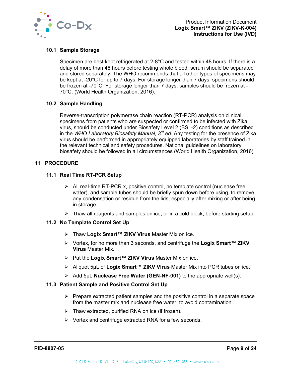

#### <span id="page-9-0"></span>**10.1 Sample Storage**

Specimen are best kept refrigerated at 2-8°C and tested within 48 hours. If there is a delay of more than 48 hours before testing whole blood, serum should be separated and stored separately. The WHO recommends that all other types of specimens may be kept at -20°C for up to 7 days. For storage longer than 7 days, specimens should be frozen at -70°C. For storage longer than 7 days, samples should be frozen at - 70°C. (World Health Organization, 2016).

#### <span id="page-9-1"></span>**10.2 Sample Handling**

Reverse-transcription polymerase chain reaction (RT-PCR) analysis on clinical specimens from patients who are suspected or confirmed to be infected with Zika virus, should be conducted under Biosafety Level 2 (BSL-2) conditions as described in the *WHO Laboratory Biosafety Manual, 3rd ed*. Any testing for the presence of Zika virus should be performed in appropriately equipped laboratories by staff trained in the relevant technical and safety procedures. National guidelines on laboratory biosafety should be followed in all circumstances (World Health Organization, 2016).

#### <span id="page-9-3"></span><span id="page-9-2"></span>**11 PROCEDURE**

#### **11.1 Real Time RT-PCR Setup**

- $\triangleright$  All real-time RT-PCR x, positive control, no template control (nuclease free water), and sample tubes should be briefly spun down before using, to remove any condensation or residue from the lids, especially after mixing or after being in storage.
- $\triangleright$  Thaw all reagents and samples on ice, or in a cold block, before starting setup.

#### <span id="page-9-4"></span>**11.2 No Template Control Set Up**

- Thaw **Logix Smart™ ZIKV Virus** Master Mix on ice.
- Vortex, for no more than 3 seconds, and centrifuge the **Logix Smart™ ZIKV Virus** Master Mix.
- Put the **Logix Smart™ ZIKV Virus** Master Mix on ice.
- Aliquot 5µL of **Logix Smart™ ZIKV Virus** Master Mix into PCR tubes on ice.
- Add 5µL **Nuclease Free Water (GEN-NF-001)** to the appropriate well(s).

#### <span id="page-9-5"></span>**11.3 Patient Sample and Positive Control Set Up**

- $\triangleright$  Prepare extracted patient samples and the positive control in a separate space from the master mix and nuclease free water, to avoid contamination.
- $\triangleright$  Thaw extracted, purified RNA on ice (if frozen).
- $\triangleright$  Vortex and centrifuge extracted RNA for a few seconds.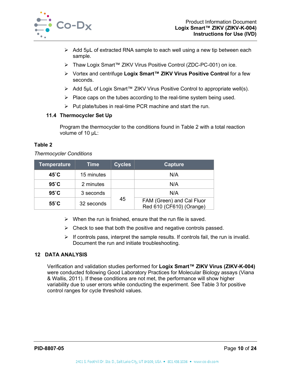

- $\triangleright$  Add 5µL of extracted RNA sample to each well using a new tip between each sample.
- Thaw Logix Smart™ ZIKV Virus Positive Control (ZDC-PC-001) on ice.
- Vortex and centrifuge **Logix Smart™ ZIKV Virus Positive Control** for a few seconds.
- Add 5µL of Logix Smart™ ZIKV Virus Positive Control to appropriate well(s).
- $\triangleright$  Place caps on the tubes according to the real-time system being used.
- $\triangleright$  Put plate/tubes in real-time PCR machine and start the run.

## <span id="page-10-0"></span>**11.4 Thermocycler Set Up**

Program the thermocycler to the conditions found in [Table 2](#page-10-2) with a total reaction volume of 10 µL:

## <span id="page-10-2"></span>**Table 2**

#### *Thermocycler Conditions*

| <b>Temperature</b>        | <b>Time</b> | <b>Cycles</b> | Capture                                               |
|---------------------------|-------------|---------------|-------------------------------------------------------|
| $45^{\circ}$ C            | 15 minutes  |               | N/A                                                   |
| $95^\circ C$<br>2 minutes |             | N/A           |                                                       |
| $95^\circ C$              | 3 seconds   |               | N/A                                                   |
| $55^{\circ}$ C            | 32 seconds  | 45            | FAM (Green) and Cal Fluor<br>Red 610 (CF610) (Orange) |

- $\triangleright$  When the run is finished, ensure that the run file is saved.
- $\triangleright$  Check to see that both the positive and negative controls passed.
- $\triangleright$  If controls pass, interpret the sample results. If controls fail, the run is invalid. Document the run and initiate troubleshooting.

## <span id="page-10-1"></span>**12 DATA ANALYSIS**

Verification and validation studies performed for **Logix Smart™ ZIKV Virus (ZIKV-K-004)** were conducted following Good Laboratory Practices for Molecular Biology assays (Viana & Wallis, 2011). If these conditions are not met, the performance will show higher variability due to user errors while conducting the experiment. See [Table 3](#page-11-1) for positive control ranges for cycle threshold values.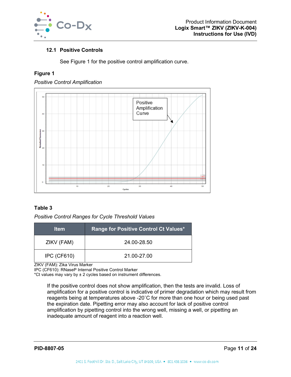

## <span id="page-11-0"></span>**12.1 Positive Controls**

See [Figure 1](#page-11-2) for the positive control amplification curve.

## <span id="page-11-2"></span>**Figure 1**





## <span id="page-11-1"></span>**Table 3**

## *Positive Control Ranges for Cycle Threshold Values*

| <b>Item</b>        | Range for Positive Control Ct Values* |
|--------------------|---------------------------------------|
| ZIKV (FAM)         | 24.00-28.50                           |
| <b>IPC (CF610)</b> | 21.00-27.00                           |

ZIKV (FAM): Zika Virus Marker

IPC (CF610): RNaseP Internal Positive Control Marker

\*Ct values may vary by ± 2 cycles based on instrument differences.

If the positive control does not show amplification, then the tests are invalid. Loss of amplification for a positive control is indicative of primer degradation which may result from reagents being at temperatures above -20˚C for more than one hour or being used past the expiration date. Pipetting error may also account for lack of positive control amplification by pipetting control into the wrong well, missing a well, or pipetting an inadequate amount of reagent into a reaction well.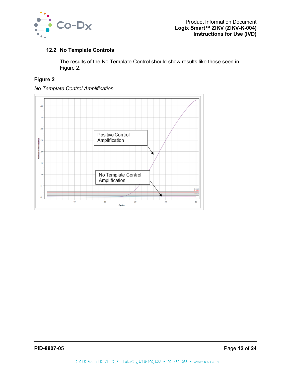

## <span id="page-12-0"></span>**12.2 No Template Controls**

The results of the No Template Control should show results like those seen in [Figure 2.](#page-12-1)

## <span id="page-12-1"></span>**Figure 2**



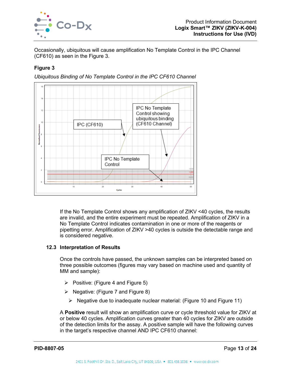

Occasionally, ubiquitous will cause amplification No Template Control in the IPC Channel (CF610) as seen in the [Figure 3.](#page-13-1)

## <span id="page-13-1"></span>**Figure 3**

*Ubiquitous Binding of No Template Control in the IPC CF610 Channel*



If the No Template Control shows any amplification of ZIKV <40 cycles, the results are invalid, and the entire experiment must be repeated. Amplification of ZIKV in a No Template Control indicates contamination in one or more of the reagents or pipetting error. Amplification of ZIKV >40 cycles is outside the detectable range and is considered negative.

#### <span id="page-13-0"></span>**12.3 Interpretation of Results**

Once the controls have passed, the unknown samples can be interpreted based on three possible outcomes (figures may vary based on machine used and quantity of MM and sample):

- $\triangleright$  Positive: [\(Figure 4](#page-14-0) and [Figure 5\)](#page-14-1)
- $\triangleright$  Negative: [\(Figure 7](#page-15-0) and [Figure 8\)](#page-16-0)
	- $\triangleright$  Negative due to inadequate nuclear material: [\(Figure 10](#page-18-0) and [Figure 11\)](#page-18-1)

A **Positive** result will show an amplification curve or cycle threshold value for ZIKV at or below 40 cycles. Amplification curves greater than 40 cycles for ZIKV are outside of the detection limits for the assay. A positive sample will have the following curves in the target's respective channel AND IPC CF610 channel: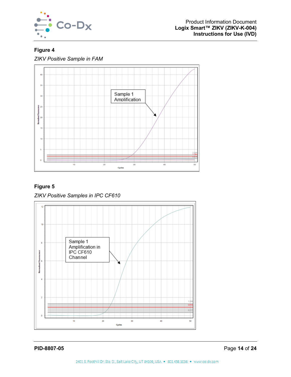

# <span id="page-14-0"></span>**Figure 4**

*ZIKV Positive Sample in FAM*



# <span id="page-14-1"></span>**Figure 5**

*ZIKV Positive Samples in IPC CF610*

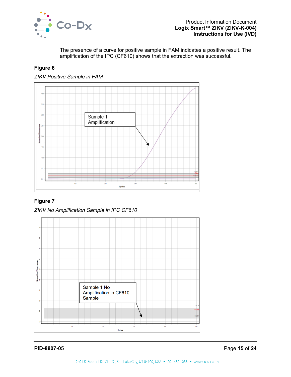

The presence of a curve for positive sample in FAM indicates a positive result. The amplification of the IPC (CF610) shows that the extraction was successful.

## **Figure 6**





# <span id="page-15-0"></span>**Figure 7**



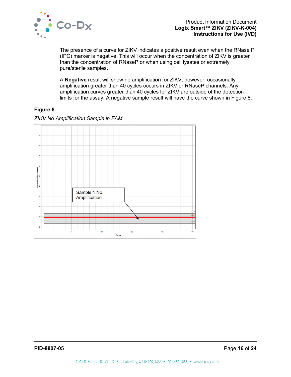

The presence of a curve for ZIKV indicates a positive result even when the RNase P (IPC) marker is negative. This will occur when the concentration of ZIKV is greater than the concentration of RNaseP or when using cell lysates or extremely pure/sterile samples.

A **Negative** result will show no amplification for ZIKV; however, occasionally amplification greater than 40 cycles occurs in ZIKV or RNaseP channels. Any amplification curves greater than 40 cycles for ZIKV are outside of the detection limits for the assay. A negative sample result will have the curve shown in [Figure 8.](#page-16-0)

## <span id="page-16-0"></span>**Figure 8**



#### *ZIKV No Amplification Sample in FAM*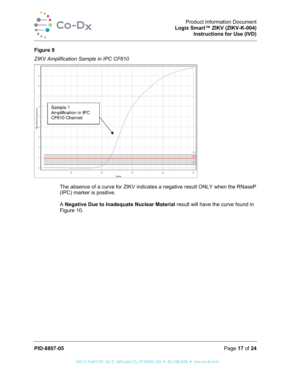

## **Figure 9**

*ZIKV Amplification Sample in IPC CF610*



The absence of a curve for ZIKV indicates a negative result ONLY when the RNaseP (IPC) marker is positive.

A **Negative Due to Inadequate Nuclear Material** result will have the curve found in [Figure 10.](#page-18-0)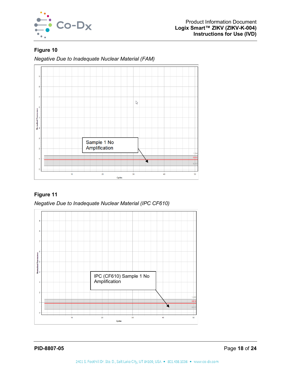

# <span id="page-18-0"></span>**Figure 10**

*Negative Due to Inadequate Nuclear Material (FAM)*



# <span id="page-18-1"></span>**Figure 11**

*Negative Due to Inadequate Nuclear Material (IPC CF610)*

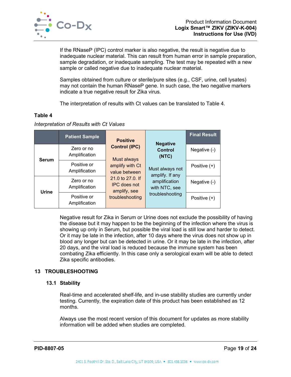

If the RNaseP (IPC) control marker is also negative, the result is negative due to inadequate nuclear material. This can result from human error in sample preparation, sample degradation, or inadequate sampling. The test may be repeated with a new sample or called negative due to inadequate nuclear material.

Samples obtained from culture or sterile/pure sites (e.g., CSF, urine, cell lysates) may not contain the human RNaseP gene. In such case, the two negative markers indicate a true negative result for Zika virus.

The interpretation of results with Ct values can be translated to [Table 4.](#page-19-2)

## <span id="page-19-2"></span>**Table 4**

#### *Interpretation of Results with Ct Values*

|              | <b>Patient Sample</b>        | <b>Positive</b>                                                                                                | <b>Negative</b>                    | <b>Final Result</b> |
|--------------|------------------------------|----------------------------------------------------------------------------------------------------------------|------------------------------------|---------------------|
| <b>Serum</b> | Zero or no<br>Amplification  | <b>Control (IPC)</b><br>Must always                                                                            | <b>Control</b><br>(NTC)            | Negative $(-)$      |
|              | Positive or<br>Amplification | amplify with Ct<br>value between<br>21.0 to 27.0. If<br><b>IPC</b> does not<br>amplify, see<br>troubleshooting | Must always not<br>amplify. If any | Positive $(+)$      |
| Urine        | Zero or no<br>Amplification  |                                                                                                                | amplification<br>with NTC, see     | Negative (-)        |
|              | Positive or<br>Amplification |                                                                                                                | troubleshooting                    | Positive $(+)$      |

Negative result for Zika in Serum or Urine does not exclude the possibility of having the disease but it may happen to be the beginning of the infection where the virus is showing up only in Serum, but possible the viral load is still low and harder to detect. Or it may be late in the infection, after 10 days where the virus does not show up in blood any longer but can be detected in urine. Or it may be late in the infection, after 20 days, and the viral load is reduced because the immune system has been combating Zika efficiently. In this case only a serological exam will be able to detect Zika specific antibodies.

## <span id="page-19-1"></span><span id="page-19-0"></span>**13 TROUBLESHOOTING**

#### **13.1 Stability**

Real-time and accelerated shelf-life, and in-use stability studies are currently under testing. Currently, the expiration date of this product has been established as 12 months.

Always use the most recent version of this document for updates as more stability information will be added when studies are completed.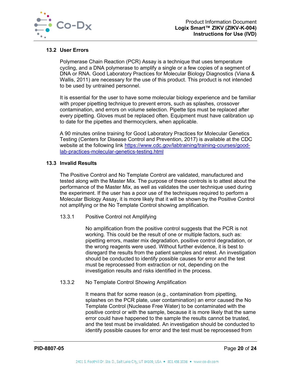

## <span id="page-20-0"></span>**13.2 User Errors**

Polymerase Chain Reaction (PCR) Assay is a technique that uses temperature cycling, and a DNA polymerase to amplify a single or a few copies of a segment of DNA or RNA. Good Laboratory Practices for Molecular Biology Diagnostics (Viana & Wallis, 2011) are necessary for the use of this product. This product is not intended to be used by untrained personnel.

It is essential for the user to have some molecular biology experience and be familiar with proper pipetting technique to prevent errors, such as splashes, crossover contamination, and errors on volume selection. Pipette tips must be replaced after every pipetting. Gloves must be replaced often. Equipment must have calibration up to date for the pipettes and thermocyclers, when applicable.

A 90 minutes online training for Good Laboratory Practices for Molecular Genetics Testing (Centers for Disease Control and Prevention, 2017) is available at the CDC website at the following link [https://www.cdc.gov/labtraining/training-courses/good](https://www.cdc.gov/labtraining/training-courses/good-lab-practices-molecular-genetics-testing.html)[lab-practices-molecular-genetics-testing.html](https://www.cdc.gov/labtraining/training-courses/good-lab-practices-molecular-genetics-testing.html)

#### <span id="page-20-1"></span>**13.3 Invalid Results**

The Positive Control and No Template Control are validated, manufactured and tested along with the Master Mix. The purpose of these controls is to attest about the performance of the Master Mix, as well as validates the user technique used during the experiment. If the user has a poor use of the techniques required to perform a Molecular Biology Assay, it is more likely that it will be shown by the Positive Control not amplifying or the No Template Control showing amplification.

#### <span id="page-20-2"></span>13.3.1 Positive Control not Amplifying

No amplification from the positive control suggests that the PCR is not working. This could be the result of one or multiple factors, such as: pipetting errors, master mix degradation, positive control degradation, or the wrong reagents were used. Without further evidence, it is best to disregard the results from the patient samples and retest. An investigation should be conducted to identify possible causes for error and the test must be reprocessed from extraction or not, depending on the investigation results and risks identified in the process.

#### <span id="page-20-3"></span>13.3.2 No Template Control Showing Amplification

It means that for some reason (e.g., contamination from pipetting, splashes on the PCR plate, user contamination) an error caused the No Template Control (Nuclease Free Water) to be contaminated with the positive control or with the sample, because it is more likely that the same error could have happened to the sample the results cannot be trusted, and the test must be invalidated. An investigation should be conducted to identify possible causes for error and the test must be reprocessed from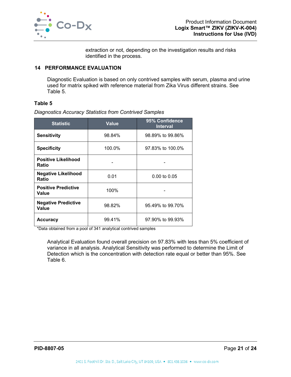

extraction or not, depending on the investigation results and risks identified in the process.

#### <span id="page-21-0"></span>**14 PERFORMANCE EVALUATION**

Diagnostic Evaluation is based on only contrived samples with serum, plasma and urine used for matrix spiked with reference material from Zika Virus different strains. See [Table 5.](#page-21-1)

#### <span id="page-21-1"></span>**Table 5**

*Diagnostics Accuracy Statistics from Contrived Samples*

| <b>Statistic</b>                    | <b>Value</b> | 95% Confidence<br><b>Interval</b> |
|-------------------------------------|--------------|-----------------------------------|
| <b>Sensitivity</b>                  | 98.84%       | 98.89% to 99.86%                  |
| <b>Specificity</b>                  | 100.0%       | 97.83% to 100.0%                  |
| <b>Positive Likelihood</b><br>Ratio |              |                                   |
| <b>Negative Likelihood</b><br>Ratio | 0.01         | $0.00 \text{ to } 0.05$           |
| <b>Positive Predictive</b><br>Value | 100%         |                                   |
| <b>Negative Predictive</b><br>Value | 98.82%       | 95.49% to 99.70%                  |
| <b>Accuracy</b>                     | 99.41%       | 97.90% to 99.93%                  |

\*Data obtained from a pool of 341 analytical contrived samples

Analytical Evaluation found overall precision on 97.83% with less than 5% coefficient of variance in all analysis. Analytical Sensitivity was performed to determine the Limit of Detection which is the concentration with detection rate equal or better than 95%. See [Table 6.](#page-22-1)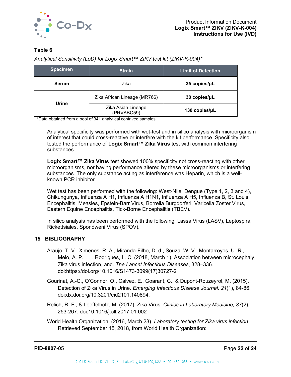

## <span id="page-22-1"></span>**Table 6**

*Analytical Sensitivity (LoD) for Logix Smart™ ZIKV test kit (ZIKV-K-004)\**

| <b>Specimen</b> | <b>Strain</b>                    | <b>Limit of Detection</b> |
|-----------------|----------------------------------|---------------------------|
| Serum           | Zika                             | 35 copies/µL              |
| Urine           | Zika African Lineage (MR766)     | 30 copies/µL              |
|                 | Zika Asian Lineage<br>(PRVABC59) | 130 copies/µL             |

\*Data obtained from a pool of 341 analytical contrived samples

Analytical specificity was performed with wet-test and in silico analysis with microorganism of interest that could cross-reactive or interfere with the kit performance. Specificity also tested the performance of **Logix Smart™ Zika Virus** test with common interfering substances.

**Logix Smart™ Zika Virus** test showed 100% specificity not cross-reacting with other microorganisms, nor having performance altered by these microorganisms or interfering substances. The only substance acting as interference was Heparin, which is a wellknown PCR inhibitor.

Wet test has been performed with the following: West-Nile, Dengue (Type 1, 2, 3 and 4), Chikungunya, Influenza A H1, Influenza A H1N1, Influenza A H5, Influenza B, St. Louis Encephalitis, Measles, Epstein-Barr Virus, Borrelia Burgdorferi, Varicella Zoster Virus, Eastern Equine Encephalitis, Tick-Borne Encephalitis (TBEV).

In silico analysis has been performed with the following: Lassa Virus (LASV), Leptospira, Rickettsiales, Spondweni Virus (SPOV).

## <span id="page-22-0"></span>**15 BIBLIOGRAPHY**

- Araújo, T. V., Ximenes, R. A., Miranda-Filho, D. d., Souza, W. V., Montarroyos, U. R., Melo, A. P., . . . Rodrigues, L. C. (2018, March 1). Association between microcephaly, Zika virus infection, and. *The Lancet Infectious Diseases*, 328–336. doi:https://doi.org/10.1016/S1473-3099(17)30727-2
- Gourinat, A.-C., O'Connor, O., Calvez, E., Goarant, C., & Dupont-Rouzeyrol, M. (2015). Detection of Zika Virus in Urine. *Emerging Infectious Disease Journal, 21*(1), 84-86. doi:dx.doi.org/10.3201/eid2101.140894.
- Relich, R. F., & Loeffelholz, M. (2017). Zika Virus. *Clinics in Laboratory Medicine, 37*(2), 253-267. doi:10.1016/j.cll.2017.01.002
- World Health Organization. (2016, March 23). *Laboratory testing for Zika virus infection.* Retrieved September 15, 2018, from World Health Organization: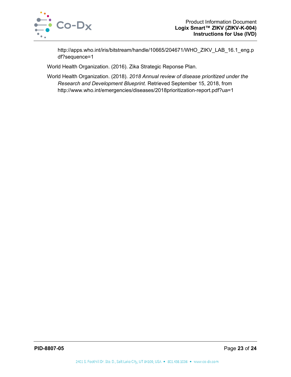

http://apps.who.int/iris/bitstream/handle/10665/204671/WHO\_ZIKV\_LAB\_16.1\_eng.p df?sequence=1

World Health Organization. (2016). Zika Strategic Reponse Plan.

World Health Organization. (2018). *2018 Annual review of disease prioritized under the Research and Development Blueprint.* Retrieved September 15, 2018, from http://www.who.int/emergencies/diseases/2018prioritization-report.pdf?ua=1